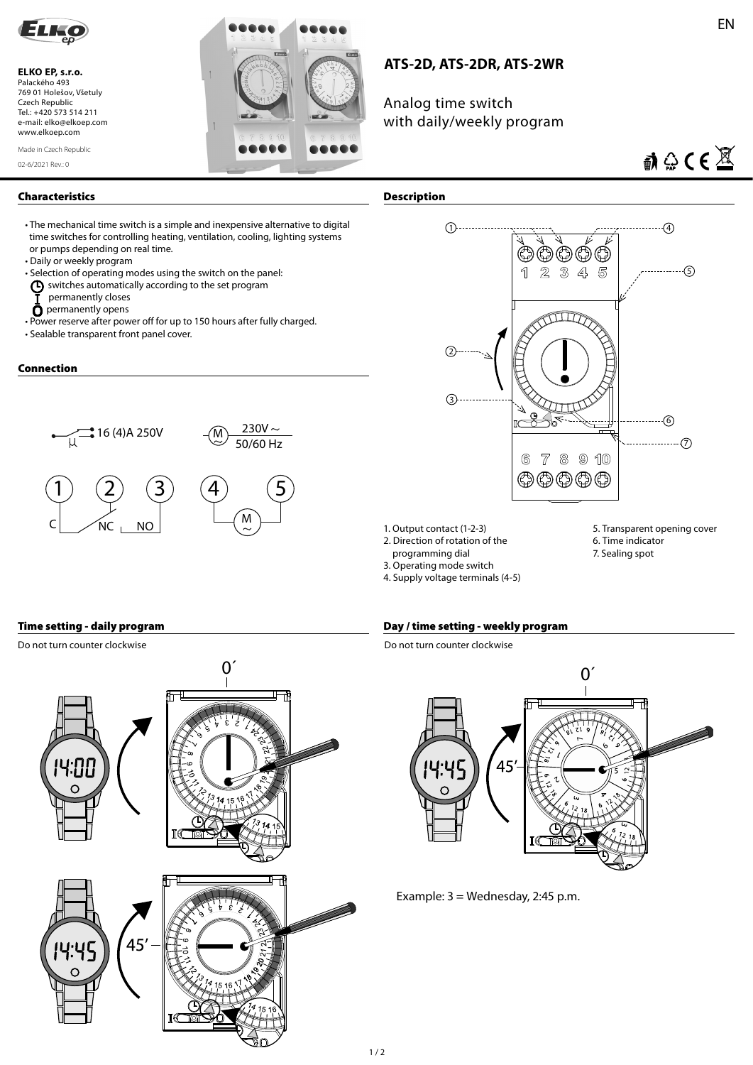

**ELKO EP, s.r.o.**  Palackého 493 769 01 Holešov, Všetuly Czech Republic Tel.: +420 573 514 211 e-mail: elko@elkoep.com www.elkoep.com

02-6/2021 Rev.: 0 Made in Czech Republic



## **ATS-2D, ATS-2DR, ATS-2WR**

Analog time switch with daily/weekly program

# $\mathbf{M} \oplus \mathbf{C} \in \mathbb{X}$

#### **Characteristics Description**

• The mechanical time switch is a simple and inexpensive alternative to digital time switches for controlling heating, ventilation, cooling, lighting systems or pumps depending on real time.

- 
- Daily or weekly program<br>• Selection of operating modes using the switch on the panel: • Selection of operating modes using the switch on the panel:
- $\left(\mathsf{F}\right)$  switches automatically according to the set program
	- permanently closes
	- $\bar{\mathbf{O}}$  permanently opens
- Power reserve after power off for up to 150 hours after fully charged.
- Sealable transparent front panel cover.

#### **Connection**





- 1. Output contact (1-2-3)
- 2. Direction of rotation of the
- programming dial
- 3. Operating mode switch
- 
- 5. Transparent opening cover
- 
- 
- 
- 

# 6. Time indicator

- 7. Sealing spot
- 
- 4. Supply voltage terminals (4-5)

Do not turn counter clockwise



#### **Time setting - daily program Day / time setting - weekly program**

Do not turn counter clockwise



Example: 3 = Wednesday, 2:45 p.m.